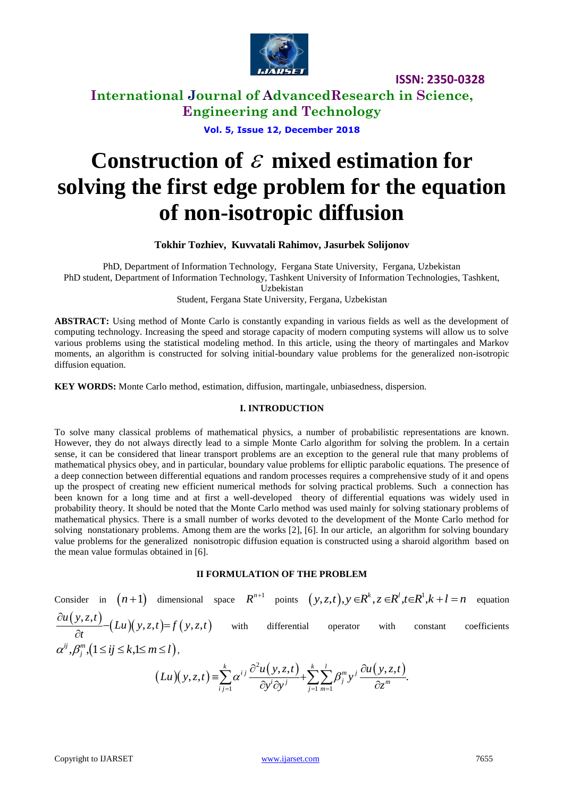

**International Journal of AdvancedResearch in Science, Engineering and Technology**

**Vol. 5, Issue 12, December 2018**

# Construction of  $\varepsilon$  mixed estimation for **solving the first edge problem for the equation of non-isotropic diffusion**

#### **Tokhir Tozhiev, Kuvvatali Rahimov, Jasurbek Solijonov**

PhD, Department of Information Technology, Fergana State University, Fergana, Uzbekistan PhD student, Department of Information Technology, Tashkent University of Information Technologies, Tashkent, Uzbekistan

Student, Fergana State University, Fergana, Uzbekistan

**ABSTRACT:** Using method of Monte Carlo is constantly expanding in various fields as well as the development of computing technology. Increasing the speed and storage capacity of modern computing systems will allow us to solve various problems using the statistical modeling method. In this article, using the theory of martingales and Markov moments, an algorithm is constructed for solving initial-boundary value problems for the generalized non-isotropic diffusion equation.

**KEY WORDS:** Monte Carlo method, estimation, diffusion, martingale, unbiasedness, dispersion.

#### **I. INTRODUCTION**

To solve many classical problems of mathematical physics, a number of probabilistic representations are known. However, they do not always directly lead to a simple Monte Carlo algorithm for solving the problem. In a certain sense, it can be considered that linear transport problems are an exception to the general rule that many problems of mathematical physics obey, and in particular, boundary value problems for elliptic parabolic equations. The presence of a deep connection between differential equations and random processes requires a comprehensive study of it and opens up the prospect of creating new efficient numerical methods for solving practical problems. Such a connection has been known for a long time and at first a well-developed theory of differential equations was widely used in probability theory. It should be noted that the Monte Carlo method was used mainly for solving stationary problems of mathematical physics. There is a small number of works devoted to the development of the Monte Carlo method for solving nonstationary problems. Among them are the works [2], [6]. In our article, an algorithm for solving boundary value problems for the generalized nonisotropic diffusion equation is constructed using a sharoid algorithm based on the mean value formulas obtained in [6].

#### **II FORMULATION OF THE PROBLEM**

Consider in  $(n+1)$  dimensional space  $R^{n+1}$  points  $(y, z, t), y \in R^k, z \in R^l, t \in R^l$  $(y, z, t), y \in R^k, z \in R^l, t \in R^1, k+l=n$  equation  $(y, z, t)$ er in  $(n+1)$  dimensional<br>  $(x, z, t)$ <br>  $-Lu$   $(y, z, t) = f(y, z, t)$  $(z, t) = f(y, z, t)$  $u(y, z, t)$  $\frac{L(z,t)}{t}$  (*Lu*)(*y*, *z*, *t*)= *f* (*y*, *z*, *t*)  $\frac{\partial u(y,z,t)}{\partial t} - (Lu)(y,z,t) = f(y,z,t)$  with differential operator with constant coefficients  $\alpha^{ij}, \beta_j^m$ ,  $(1 \le ij \le k, 1 \le m \le l)$ ,  $(Lu)(y, z, t)$  $^{2}u(y,z,t)$   $\sum_{k=1}^{k}$   $\partial u(y,z,t)$  $\sum_{i=1}^n \alpha^{ij} \frac{\partial^{i} u(y, z, t)}{\partial y^{i} \partial y^{j}} + \sum_{j=1}^n \sum_{m=1}^n$  $\frac{1}{\sqrt{2\cdot5}}$ ,  $\frac{1}{\sqrt{2\cdot5}}$  ,  $\frac{1}{\sqrt{2\cdot5}}$   $\frac{1}{\sqrt{2\cdot5}}$   $\frac{1}{\sqrt{2\cdot5}}$   $\frac{1}{\sqrt{2\cdot5}}$   $\frac{1}{\sqrt{2\cdot5}}$  $(x, z, t) = \sum_{i,j=1}^{k} \alpha^{i j} \frac{\partial^{2} u(y, z, t)}{\partial y^{i} \partial y^{j}} + \sum_{i=1}^{k} \sum_{m=1}^{l} \beta_{j}^{m} y^{j} \frac{\partial u(y, z, t)}{\partial z^{m}}.$  $\sum_{i,j=1}^{k} \alpha^{i j} \frac{\partial^{2} u(y,z,t)}{\partial y^{i} \partial y^{j}} + \sum_{j=1}^{k} \sum_{m=1}^{l} \beta_{j}^{m} y^{j} \frac{\partial u(y,z,t)}{\partial z^{m}}$  $\frac{u(y,z,t)}{z} + \sum_{r=0}^{k} \sum_{r=0}^{l} \frac{\partial u(y,z,t)}{\partial x}$  $(Lu)(y, z, t) = \sum_{i,j=1}^{k} \alpha^{ij} \frac{\partial^2 u(y, z, t)}{\partial y^i \partial y^j} + \sum_{i=1}^{k} \sum_{j=1}^{l} \beta_j^m y^j$  $\frac{(y, z, t)}{y^{i} \partial y^{j}} + \sum_{j=1}^{k} \sum_{m=1}^{l} \beta_{j}^{m} y^{j} \frac{\partial u(y)}{\partial z_{j}}$  $\sum_{i=1}^{k} \alpha^{i j} \frac{\partial^2 u(y,z,t)}{\partial y^i \partial y^j} + \sum_{j=1}^{k} \sum_{m=1}^{l} \beta_j^m y^j \frac{\partial u(x,t)}{\partial x^j}$  $= \sum_{i,j=1}^k \alpha^{ij} \frac{\partial^2 u(y,z,t)}{\partial y^i \partial y^j} + \sum_{j=1}^k \sum_{m=1}^l \beta_j^m y^j \frac{\partial u(y,z,t)}{\partial z^m}.$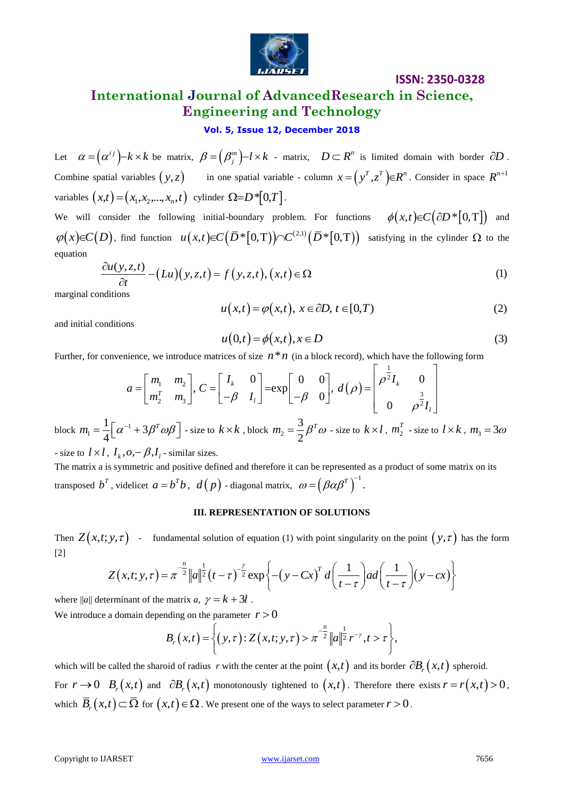

# **International Journal of AdvancedResearch in Science, Engineering and Technology**

#### **Vol. 5, Issue 12, December 2018**

Let  $\alpha = (\alpha^{ij}) - k \times k$  be matrix,  $\beta = (\beta_j^m) - l \times k$  - matrix,  $D \subset R^n$  is limited domain with border  $\partial D$ . Combine spatial variables  $(y, z)$  in one spatial variable - column  $x = (y^T, z^T) \in \mathbb{R}^n$ . Consider in space  $\mathbb{R}^{n+1}$ variables  $(x,t) = (x_1, x_2,...,x_n, t)$  cylinder  $\Omega = D^*[0, T]$ .

We will consider the following initial-boundary problem. For functions  $\phi(x,t) \in C(\partial D^*[0,T])$  and We will consider the following initial-boundary problem. For functions  $\varphi(x,t) \in C(\partial D^*[0,1])$  and  $\varphi(x) \in C(D)$ , find function  $u(x,t) \in C(\overline{D}^*[0,1]) \cap C^{(2,1)}(\overline{D}^*[0,1])$  satisfying in the cylinder  $\Omega$  to the equation<br>equati equation

$$
\frac{\partial u(y,z,t)}{\partial t} - \left(Lu\right)(y,z,t) = f(y,z,t), (x,t) \in \Omega
$$
\n(1)

marginal conditions

$$
u(x,t) = \varphi(x,t), \ x \in \partial D, \ t \in [0,T)
$$
 (2)

and initial conditions

$$
u(0,t) = \phi(x,t), x \in D \tag{3}
$$

Further, for convenience, we introduce matrices of size 
$$
n * n
$$
 (in a block record), which have the following form  
\n
$$
a = \begin{bmatrix} m_1 & m_2 \\ m_2^T & m_3 \end{bmatrix}, C = \begin{bmatrix} I_k & 0 \\ -\beta & I_l \end{bmatrix} = \exp \begin{bmatrix} 0 & 0 \\ -\beta & 0 \end{bmatrix}, d(\rho) = \begin{bmatrix} \rho^{\frac{1}{2}}I_k & 0 \\ 0 & \rho^{\frac{3}{2}}I_l \end{bmatrix}
$$

block  $m_1 = \frac{1}{\alpha} \alpha^{-1}$ 1  $\frac{1}{\sqrt{a}}\left[\alpha^{-1}+3\right]$ 4  $m_1 = \frac{1}{4} \left[ \alpha^{-1} + 3\beta^T \omega \beta \right]$  - size to  $k \times k$  , block  $m_2$ 3 2  $m_2 = \frac{3}{2} \beta^T \omega$  - size to  $k \times l$ ,  $m_2^T$  $m_2^T$  - size to  $l \times k$ ,  $m_3 = 3\omega$ 

- size to  $l \times l$ ,  $I_k$ ,  $o$ ,  $\hat{\beta}$ ,  $I_l$  - similar sizes.

The matrix a is symmetric and positive defined and therefore it can be represented as a product of some matrix on its transposed  $b^T$ , videlicet  $a = b^T b$ ,  $d(p)$  - diagonal matrix,  $\omega = (\beta \alpha \beta^T)^{-1}$ .

#### **III. REPRESENTATION OF SOLUTIONS**

Then  $Z(x,t;y,\tau)$  - fundamental solution of equation (1) with point singularity on the point  $(y,\tau)$  has the form [2]

$$
y, \tau
$$
 - fundamental solution of equation (1) with point singularity on the point  $(y, \tau)$  has the form  

$$
Z(x,t;y,\tau) = \pi^{-\frac{n}{2}} ||a||^{\frac{1}{2}} (t-\tau)^{-\frac{\gamma}{2}} \exp \left\{ -\left(y - Cx\right)^{T} d\left(\frac{1}{t-\tau}\right) a d\left(\frac{1}{t-\tau}\right) (y - cx) \right\}
$$

where  $||a||$  determinant of the matrix *a*,  $\gamma = k + 3l$ .

where 
$$
||a||
$$
 determinant of the matrix  $a, y = k + 3i$ .

\nWe introduce a domain depending on the parameter  $r > 0$ .

\n
$$
B_r(x, t) = \left\{ (y, \tau) : Z(x, t; y, \tau) > \pi^{-\frac{n}{2}} ||a||^{\frac{1}{2}} r^{-\gamma}, t > \tau \right\},
$$

which will be called the sharoid of radius *r* with the center at the point  $(x,t)$  and its border  $\partial B_r(x,t)$  spheroid. For  $r \to 0$   $B_r(x,t)$  and  $\partial B_r(x,t)$  monotonously tightened to  $(x,t)$ . Therefore there exists  $r = r(x,t) > 0$ , which  $\bar{B}_r(x,t) \! \subset \! \bar{\Omega}$  for  $\big(x,t\big) \! \in \! \Omega$  . We present one of the ways to select parameter  $r \! > \! 0$  .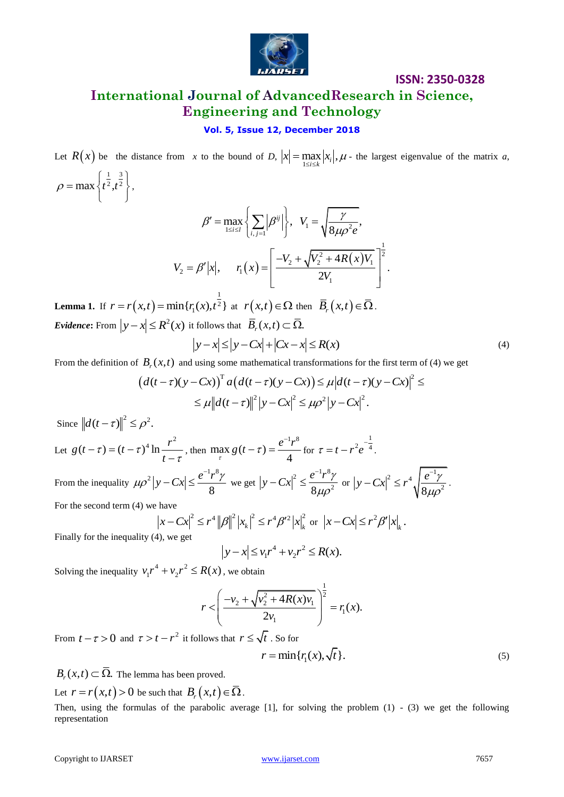

## **International Journal of AdvancedResearch in Science, Engineering and Technology**

#### **Vol. 5, Issue 12, December 2018**

Let  $R(x)$  be the distance from *x* to the bound of *D*,  $|x| = \max_{1 \le i \le k} |x_i|, \mu$  - the largest eigenvalue of the matrix *a*, 1 3  $\left(\begin{array}{cc} \frac{1}{2} & \frac{3}{2} \end{array}\right)$ 

$$
\beta' = \max_{1 \le i \le l} \left\{ \sum_{i,j=1}^l |\beta^{ij}| \right\}, \quad V_1 = \sqrt{\frac{\gamma}{8\mu \rho^2 e}},
$$

$$
V_2 = \beta' |x|, \qquad r_1(x) = \left[ \frac{-V_2 + \sqrt{V_2^2 + 4R(x)V_1}}{2V_1} \right]^{\frac{1}{2}}.
$$

**Lemma 1.** If  $r = r(x,t)$  $r = r(x,t) = \min\{r_1(x), t^{\frac{1}{2}}\}$  at  $r(x,t) \in \Omega$  then  $\overline{B}_r(x,t) \in \overline{\Omega}$ . *Evidence*: From  $|y - x| \le R^2(x)$  it follows that  $\overline{B}_r(x,t) \subset \overline{\Omega}$ .<br> $|y - x| \le |y - Cx| + |Cx - x| \le R(x)$ 

$$
|y-x| \le |y-Cx| + |Cx-x| \le R(x)
$$
\n(4)

From the definition of  $B_r(x,t)$  and using some mathematical transformations for the first term of (4) we get

$$
|y - x| \le |y - cx| + |cx - x| \le K(x)
$$
  
\n
$$
B_r(x, t) \text{ and using some mathematical transformations for the first term of (4) we get}
$$
  
\n
$$
(d(t - \tau)(y - Cx))^T a (d(t - \tau)(y - Cx)) \le \mu |d(t - \tau)(y - Cx)|^2 \le
$$
  
\n
$$
\le \mu ||d(t - \tau)||^2 |y - Cx|^2 \le \mu \rho^2 |y - Cx|^2.
$$

Since  $\left\| d(t-\tau) \right\|^2 \leq \rho^2$ .

 $\rho = \max \left\{ t^{\frac{1}{2}}, t^{\frac{1}{2}} \right\}$ 

 $=\max\left\{t^2,t^2\right\},\right.$ 

Let  $g(t-\tau) = (t-\tau)^4 \ln \frac{r^2}{t-\tau}$ , then max  $g(t-\tau) = \frac{e^{-1}r^8}{4\tau^8}$ 4  $\lim_{\tau} g(t-\tau) = \frac{e^{-1}r}{4}$  $(-\tau) = \frac{e^{-1}r^8}{4}$  for 1  $\tau = t - r^2 e^{-\frac{1}{4}}$ . From the inequality  $2|y - Cx| < e^{-1}r^8$ 8  $\mu \rho^2 |y - Cx| \leq \frac{e^{-1} r^8 \gamma}{2}$  $-Cx \leq \frac{e^{-1}r^8\gamma}{2}$  we get 2  $e^{-1}r^8$  $8\mu\rho^2$  $y - Cx|^2 \leq \frac{e^{-1}r^8 \gamma}{2}$  $\mu\rho$  $-Cx|^2 \leq \frac{e^{-1}r^8\gamma}{2r^2}$  or  $2\phantom{0}$   $\phantom{0}e^{-1}$  $8\mu\rho^2$  $|y - Cx|^2 \leq r^4 \sqrt{\frac{e^{-1} \gamma}{2}}$  $\mu \rho$  $-Cx|^2 \le r^4 \sqrt{\frac{e^{-1}\gamma}{2}}$ .

For the second term (4) we have

have  
\n
$$
x - Cx|^2 \le r^4 ||\beta||^2 |x_k|^2 \le r^4 \beta'^2 |x|_k^2
$$
 or  $|x - Cx| \le r^2 \beta' |x|_k$ .

Finally for the inequality (4), we get

$$
|y - x| \le v_1 r^4 + v_2 r^2 \le R(x).
$$

Solving the inequality  $v_1 r^4 + v_2 r^2 \le R(x)$ , we obtain

$$
r < \left(\frac{-v_2 + \sqrt{v_2^2 + 4R(x)v_1}}{2v_1}\right)^{\frac{1}{2}} = r_1(x).
$$

From  $t - \tau > 0$  and  $\tau > t - r^2$  it follows that  $r \leq \sqrt{t}$  . So for

$$
r = \min\{r_1(x), \sqrt{t}\}.
$$
 (5)

 $B_r(x,t) \subset \overline{\Omega}.$  The lemma has been proved.

Let  $r = r(x,t) > 0$  be such that  $B_r(x,t) \in \overline{\Omega}$ .

Then, using the formulas of the parabolic average [1], for solving the problem (1) - (3) we get the following representation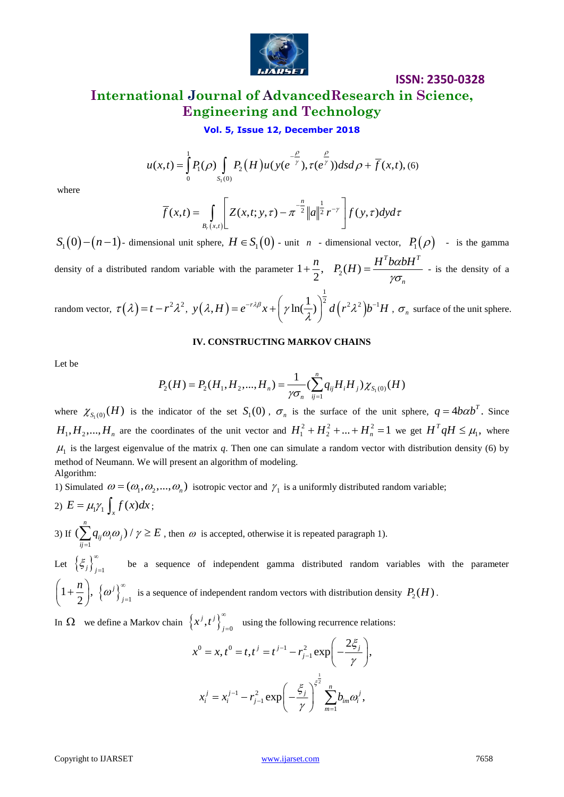

# **International Journal of AdvancedResearch in Science, Engineering and Technology**

**ISSN: 2350-0328**

**Vol. 5, Issue 12, December 2018**

**Vol. 5, Issue 12, December 2018**  

$$
u(x,t) = \int_{0}^{1} P_1(\rho) \int_{S_1(0)} P_2(H) u(y(e^{-\gamma}), \tau(e^{\gamma})) ds d\rho + \overline{f}(x,t), (6)
$$

where

$$
\bar{f}(x,t) = \int_{B_r(x,t)} \left[ Z(x,t;y,\tau) - \pi^{-\frac{n}{2}} ||a||^{\frac{1}{2}} r^{-\gamma} \right] f(y,\tau) dy d\tau
$$

 $S_1(0) - (n-1)$ - dimensional unit sphere,  $H \in S_1(0)$  - unit *n* - dimensional vector,  $P_1(\rho)$  - is the gamma density of a distributed random variable with the parameter  $1+\frac{\pi}{2}$ , 2  $+\frac{n}{2}, \quad P_2(H) = \frac{H^T b \alpha b H^T}{h}$ *n*  $P_2(H) = \frac{H^T b \alpha b H}{2}$  $\gamma\sigma$  $=\frac{11 \text{ oz} - 1}{2 \text{ oz}}$  - is the density of a

random vector,  $\tau(\lambda) = t - r^2 \lambda^2$ ,  $y(\lambda, H) = e^{-r\lambda\beta}x + \left[\gamma \ln(\frac{1}{2})\right]^2 d(r^2 \lambda^2)$  $y(\lambda, H) = e^{-r\lambda\beta}x + \left(\gamma\ln(\frac{1}{\lambda})\right)^{\frac{1}{2}}d\left(r^2\lambda^2\right)b^{-1}H$ =  $e^{-r\lambda\beta}x + \left(\gamma\ln(\frac{1}{\lambda})\right)^{\frac{1}{2}}d\left(r^2\lambda^2\right)b^{-1}H$ ,  $\sigma_n$  surface of the unit sphere.

#### **IV. CONSTRUCTING MARKOV CHAINS**

Let be

$$
P_2(H) = P_2(H_1, H_2, ..., H_n) = \frac{1}{\gamma \sigma_n} \left( \sum_{i,j=1}^n q_{ij} H_i H_j \right) \chi_{S_1(0)}(H)
$$

where  $\chi_{S_1(0)}(H)$  is the indicator of the set  $S_1(0)$ ,  $\sigma_n$  is the surface of the unit sphere,  $q = 4b\alpha b^T$ . Since  $H_1, H_2, ..., H_n$  are the coordinates of the unit vector and  $H_1^2 + H_2^2 + ... + H_n^2 = 1$  we get  $H^T q H \le \mu_1$ , where  $\mu_1$  is the largest eigenvalue of the matrix q. Then one can simulate a random vector with distribution density (6) by method of Neumann. We will present an algorithm of modeling. Algorithm:

where<br>
where<br>
where<br>
where<br>  $F(x,t) = \frac{1}{2}F(x) \sum_{n\geq 0} P(H)u(x) e^{-x} f, \tau(e^{-x})h dx \, dx + f(x, t), \tau(e)$ <br>  $S_1(0) = (n-1)$ - dimensional unit sphere,  $H \in S_1(0)$  - unit  $v$  - dimensional vector,  $P_1(x)$  - is the gas<br>  $S_2(0) = (n-1)$ - dimensi 1) Simulated  $\omega = (\omega_1, \omega_2, ..., \omega_n)$  isotropic vector and  $\gamma_1$  is a uniformly distributed random variable; 2)  $E = \mu_1 \gamma_1 \int_x f(x) dx$ ; 3) If 1  $(\sum^n_{ij}q_{ij}\omega_i\omega_j)/$  $\sum_{ij=1} q_{ij} \omega_i \omega_j$  $q_{ii}\omega_i\omega_j$ ) /  $\gamma \ge E$  $\sum_{i,j=1} q_{ij} \omega_i \omega_j$  /  $\gamma \ge E$ , then  $\omega$  is accepted, otherwise it is repeated paragraph 1). Let  $\left\{\xi_j\right\}_{j=1}^{\infty}$ be a sequence of independent gamma distributed random variables with the parameter  $=$  $\left(1+\frac{n}{2}\right), \left\{\omega^j\right\}_{j=1}^\infty$ 2 *j j*  $\binom{n}{-}$ ,  $\left\{\omega^j\right\}^{\infty}$  $\left(1+\frac{n}{2}\right)$ ,  $\left\{\omega^j\right\}_{j=1}^{\infty}$  is a sequence of independent random vectors with distribution density  $P_2(H)$ .

In  $\Omega$  we define a Markov chain  $\left\{x^j, t^j\right\}_{j=0}^{\infty}$  $\left(x^{j},t^{j}\right)_{j}^{\infty}$ =0 using the following recurrence relations:<br> $t^0 - t$ ,  $t^j - t^{j-1} - r^2$ ,  $\exp\left(-\frac{2\xi_j}{r^j}\right)$ 

$$
x^{0} = x, t^{0} = t, t^{j} = t^{j-1} - r_{j-1}^{2} \exp\left(-\frac{2\xi_{j}}{\gamma}\right),
$$
  

$$
x_{i}^{j} = x_{i}^{j-1} - r_{j-1}^{2} \exp\left(-\frac{\xi_{j}}{\gamma}\right)^{\xi_{j}^{\frac{1}{2}}} \sum_{m=1}^{n} b_{im} \omega_{i}^{j},
$$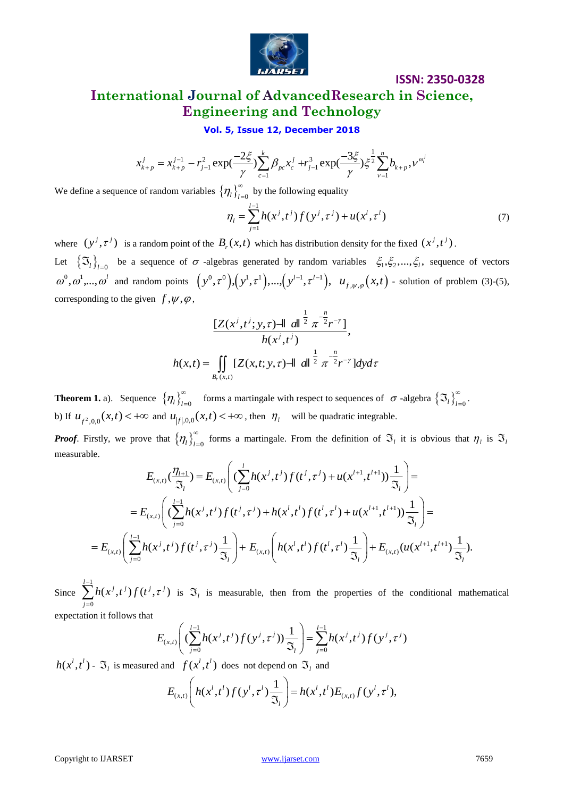

## **ISSN: 2350-0328 International Journal of AdvancedResearch in Science, Engineering and Technology**

**Engineering and Technology**  
\n**Vol. 5, Issue 12, December 2018**  
\n
$$
x_{k+p}^j = x_{k+p}^{j-1} - r_{j-1}^2 \exp(\frac{-2\xi}{\gamma}) \sum_{c=1}^k \beta_{pc} x_c^j + r_{j-1}^3 \exp(\frac{-3\xi}{\gamma}) \xi^{\frac{1}{2}} \sum_{\nu=1}^n b_{k+p}^j, \nu^{\omega_i^j}
$$

We define a sequence of random variables  $\left\{\eta_{l}\right\}_{l=0}^{\infty}$ by the following equality

$$
\eta_{i} = \sum_{j=1}^{l-1} h(x^{j}, t^{j}) f(y^{j}, \tau^{j}) + u(x^{l}, \tau^{l})
$$
\n(7)

where  $(y^j, \tau^j)$  is a random point of the  $B_r(x,t)$  which has distribution density for the fixed  $(x^j, t^j)$ .

Let  $\{\mathfrak{T}_{l}\}_{l=0}$  be a sequence of  $\sigma$  -algebras generated by random variables  $\xi_1, \xi_2, ..., \xi_l$ , sequence of vectors  $\omega^0, \omega^1, ..., \omega^l$  and random points  $(y^0, \tau^0), (y^1, \tau^1), ..., (y^{l-1}, \tau^{l-1}), u_{f, \psi, \varphi}(x, t)$  - solution of problem (3)-(5), corresponding to the given  $f, \psi, \varphi$ ,

$$
I(Z(x^j, t^j; y, \tau) = ||z||^{\frac{1}{2}} \pi^{-\frac{n}{2}} r^{-\gamma} \Big],
$$
  
\n
$$
h(x, t) = \iint_{B_r(x, t)} [Z(x, t; y, \tau) - ||z||^{\frac{1}{2}} \pi^{-\frac{n}{2}} r^{-\gamma}] dy d\tau
$$

**Theorem 1.** a). Sequence  $\{\eta_l\}_{l=0}^{\infty}$ forms a martingale with respect to sequences of  $\sigma$ -algebra  $\{\mathfrak{I}_l\}_{l=0}^{\infty}$  $\infty$  $\mathfrak{I}_{l}\big\rbrace_{l=0}^{\infty}.$ b) If  $u_{f^2,0,0}(x,t) < +\infty$  and  $u_{|f|,0,0}(x,t) < +\infty$ , then  $\eta_i$  will be quadratic integrable.

*Proof.* Firstly, we prove that  $\{\eta_l\}_{l=0}^{\infty}$ forms a martingale. From the definition of  $\mathfrak{I}_l$  it is obvious that  $\eta_l$  is  $\mathfrak{I}_l$ <br>=  $E_{\epsilon}$   $\left( (\sum_{i=1}^l h(x^j, t^j) f(t^j, \tau^j) + u(x^{l+1}, t^{l+1})) \frac{1}{\epsilon} \right)$  = measurable.

$$
E_{(x,t)}\left(\frac{\eta_{l+1}}{\mathfrak{I}_{l}}\right) = E_{(x,t)}\left(\frac{1}{2}h(x^j,t^j)f(t^j,\tau^j) + u(x^{l+1},t^{l+1})\frac{1}{\mathfrak{I}_{l}}\right) =
$$
\n
$$
= E_{(x,t)}\left(\frac{\sum_{j=0}^{l-1} h(x^j,t^j)f(t^j,\tau^j) + h(x^l,t^l)f(t^l,\tau^l) + u(x^{l+1},t^{l+1})\frac{1}{\mathfrak{I}_{l}}\right) =
$$
\n
$$
= E_{(x,t)}\left(\sum_{j=0}^{l-1} h(x^j,t^j)f(t^j,\tau^j)\frac{1}{\mathfrak{I}_{l}}\right) + E_{(x,t)}\left(h(x^l,t^l)f(t^l,\tau^l)\frac{1}{\mathfrak{I}_{l}}\right) + E_{(x,t)}\left(u(x^{l+1},t^{l+1})\frac{1}{\mathfrak{I}_{l}}\right).
$$

Since 1 0  $\sum^{l-1} h(x^j,t^j) f(t^j,\tau^j)$ *j*  $\sum^{-1} h(x^j,t^j) f(t^j,\tau)$  $\sum_{j=0} h(x^j, t^j) f(t^j, \tau^j)$  is  $\mathfrak{F}_l$  is measurable, then from the properties of the conditional mathematical

expectation it follows that

$$
\mathcal{F}^{(1)} \text{ is } \mathcal{F}_l \text{ is measurable, then from the properties of the condition}
$$
\n
$$
E_{(x,t)} \left( \left( \sum_{j=0}^{l-1} h(x^j, t^j) f(y^j, \tau^j) \right) \frac{1}{\mathcal{F}_l} \right) = \sum_{j=0}^{l-1} h(x^j, t^j) f(y^j, \tau^j)
$$

$$
h(x^l, t^l) - \mathfrak{I}_l \text{ is measured and } f(x^l, t^l) \text{ does not depend on } \mathfrak{I}_l \text{ and}
$$

$$
E_{(x,t)}\left(h(x^l, t^l)f(y^l, \tau^l)\frac{1}{\mathfrak{I}_l}\right) = h(x^l, t^l)E_{(x,t)}f(y^l, \tau^l),
$$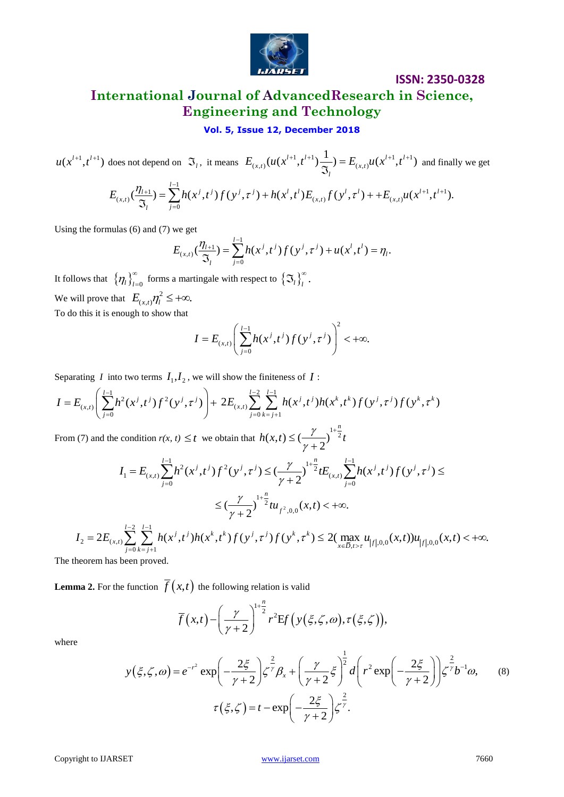

# **International Journal of AdvancedResearch in Science, Engineering and Technology**

#### **Vol. 5, Issue 12, December 2018**

does not depend on  $\mathfrak{S}_l$ , it means  $E_{(x,t)}(u(x^{l+1}, t^{l+1}) \frac{1}{\infty}) = E_{(x,t)}u(x^{l+1}, t^{l+1})$  $E_{(x,t)}(u(x^{l+1},t^{l+1})\frac{1}{\mathfrak{I}_{l}})=E_{(x,t)}u(x^{l+1},t^{l+1})$  $\overline{\mathfrak{S}}_t$  =  $E_{(x,t)}u(x^{t+1},t^{t+1})$  and finally we get and on  $\Im_t$ , it means  $E_{(x,t)}(u(x^{l+1}, t^{l+1}) \frac{1}{\Im_t}) = E_{(x,t)}u(x^{l+1}, t^{l+1})$  and<br>=  $\sum_{i=0}^{l-1} h(x^i, t^i) f(y^i, \tau^i) + h(x^l, t^l) E_{(x,t)}f(y^l, \tau^l) + + E_{(x,t)}u(x^{l+1},$ 

does not depend on 
$$
\mathfrak{I}_l
$$
, it means  $E_{(x,t)}(u(x^{l+1}, t^{l+1}) \frac{1}{\mathfrak{I}_l}) = E_{(x,t)}u(x^{l+1}, t^{l+1})$  and finally we  
\n
$$
E_{(x,t)}(\frac{\eta_{l+1}}{\mathfrak{I}_l}) = \sum_{j=0}^{l-1} h(x^j, t^j) f(y^j, \tau^j) + h(x^l, t^l) E_{(x,t)} f(y^l, \tau^l) + + E_{(x,t)} u(x^{l+1}, t^{l+1}).
$$

Using the formulas (6) and (7) we get

we get  

$$
E_{(x,t)}(\frac{\eta_{l+1}}{\mathfrak{T}_l}) = \sum_{j=0}^{l-1} h(x^j, t^j) f(y^j, \tau^j) + u(x^l, t^l) = \eta_l.
$$

It follows that  $\left\{\eta_{l}\right\}_{l=0}^{\infty}$ forms a martingale with respect to  $\{\mathfrak{I}_l\}_{l}^{\infty}$ .  $\mathfrak{I}_{l}$ <sub> $\big\}^{\infty}$ </sub> We will prove that  $E_{(x,t)} \eta_l^2 \leq +\infty$ . To do this it is enough to show that

$$
I = E_{(x,t)} \left( \sum_{j=0}^{l-1} h(x^j, t^j) f(y^j, \tau^j) \right)^2 < +\infty.
$$

Separating *I* into two terms 
$$
I_1, I_2
$$
, we will show the finiteness of *I* :  
\n
$$
I = E_{(x,t)} \left( \sum_{j=0}^{l-1} h^2(x^j, t^j) f^2(y^j, \tau^j) \right) + 2E_{(x,t)} \sum_{j=0}^{l-2} \sum_{k=j+1}^{l-1} h(x^j, t^j) h(x^k, t^k) f(y^j, \tau^j) f(y^k, \tau^k)
$$

From (7) and the condition  $r(x, t) \leq t$  we obtain that  $h(x,t) \leq \left(\frac{\gamma}{\epsilon}\right)^{1+\frac{\gamma}{2}}$ 2  $h(x,t) \leq \left(\frac{\gamma}{2}\right)^{1+\frac{n}{2}} t$ γ  $\leq \left(\frac{\gamma}{\gamma}\right)^{1+}$ 

$$
\int_{(x,t)}^{\infty} \left(\frac{y}{j=0} \right)^{1+\frac{n}{2}} t
$$
\nand the condition  $r(x, t) \leq t$  we obtain that  $h(x,t) \leq \left(\frac{\gamma}{\gamma+2}\right)^{1+\frac{n}{2}} t$   
\n
$$
I_1 = E_{(x,t)} \sum_{j=0}^{l-1} h^2(x^j, t^j) f^2(y^j, \tau^j) \leq \left(\frac{\gamma}{\gamma+2}\right)^{1+\frac{n}{2}} t E_{(x,t)} \sum_{j=0}^{l-1} h(x^j, t^j) f(y^j, \tau^j) \leq
$$
\n
$$
\leq \left(\frac{\gamma}{\gamma+2}\right)^{1+\frac{n}{2}} t u_{f^2,0,0}(x,t) < +\infty.
$$
\n
$$
= 2E_{(x,t)} \sum_{j=0}^{l-2} \sum_{k=j+1}^{l-1} h(x^j, t^j) h(x^k, t^k) f(y^j, \tau^j) f(y^k, \tau^k) \leq 2 \left(\max_{x \in \overline{D}, t > \tau} u_{|f|,0,0}(x,t) \right) u_{|f|,0,0}(x,t) < +\infty.
$$

$$
I_2 = 2E_{(x,t)} \sum_{j=0}^{l-2} \sum_{k=j+1}^{l-1} h(x^j, t^j) h(x^k, t^k) f(y^j, \tau^j) f(y^k, \tau^k) \le 2(\max_{x \in \overline{D}, t > \tau} u_{|f|,0,0}(x,t)) u_{|f|,0,0}(x,t) < +\infty.
$$

The theorem has been proved.

**Lemma 2.** For the function 
$$
\overline{f}(x,t)
$$
 the following relation is valid  
\n
$$
\overline{f}(x,t) - \left(\frac{\gamma}{\gamma+2}\right)^{1+\frac{n}{2}} r^2 \text{Ef}\left(y(\xi,\zeta,\omega),\tau(\xi,\zeta)\right),
$$

where

$$
u(x^{i+1},t^{i+1})
$$
 does not depend on  $\Im_{t}$ , it means  $E_{(x,t)}(u(x^{i+1},t^{i+1})\frac{1}{\Im_{t}}) = E_{(x,t)}(u(x^{i+1},t^{i+1})$  and finally we get  
\n
$$
E_{(x,t)}(\frac{\eta_{t+1}}{\Im_{t}}) = \sum_{j=0}^{t-1} h(x^{j},t^{j}) f(y^{j},\tau^{j}) + h(x^{j},t^{j}) E_{(x,t)} f(y^{j},\tau^{j}) + E_{(x,t)} u(x^{i+1},t^{i+1}).
$$
\nUsing the formulas (6) and (7) we get  
\n
$$
E_{(x,t)}(\frac{\eta_{t+1}}{\Im_{t}}) = \sum_{j=0}^{t-1} h(x^{j},t^{j}) f(y^{j},\tau^{j}) + u(x^{j},t^{j}) = \eta_{t}.
$$
\nIt follows that  $\{\eta_{t}\}_{t=0}^{n}$  forms a martingale with respect to  $\{\Im_{t}\}_{t}^{n}$ .  
\nWe will prove that  $\{U_{t} \}_{t=0}^{n}$  for  $\pi$  and  $\pi$  and  $\pi$  are  $U_{(x,t)} \sum_{j=0}^{t-1} f(x^{j},t^{j}) f(y^{j},\tau^{j}) + U_{(x,t^{i})} f(y^{j},\tau^{j}) = \pi$ .  
\n
$$
I = E_{(x,t)} \left( \sum_{j=0}^{t-1} h^{2}(x^{j},t^{j}) f^{2}(y^{j},\tau^{j}) \right) + 2 E_{(x,t)} \sum_{j=0}^{t-2} \sum_{k=j+1}^{t-1} h(x^{j},t^{j}) h(x^{k},t^{k}) f(y^{j},\tau^{k}) f(y^{k},\tau^{k})
$$
\nFrom (7) and the condition  $r(x, t) \leq t$  we obtain that  $h(x, t) \leq \frac{r}{\gamma+2} \int_{t=0}^{t=\frac{r}{2}} h(x^{j},t^{j}) f(y^{k},\tau^{k}) \leq I_{(x,t)} \sum_{j=0}^{t-1} h(x^{j},t^{j}) f(y^{j},\tau^{j}) \leq I_{(x,t)} \sum_{j=0}^{t-1} h(x^{j},t^{j}) f(y^{j},\tau^{j}) \$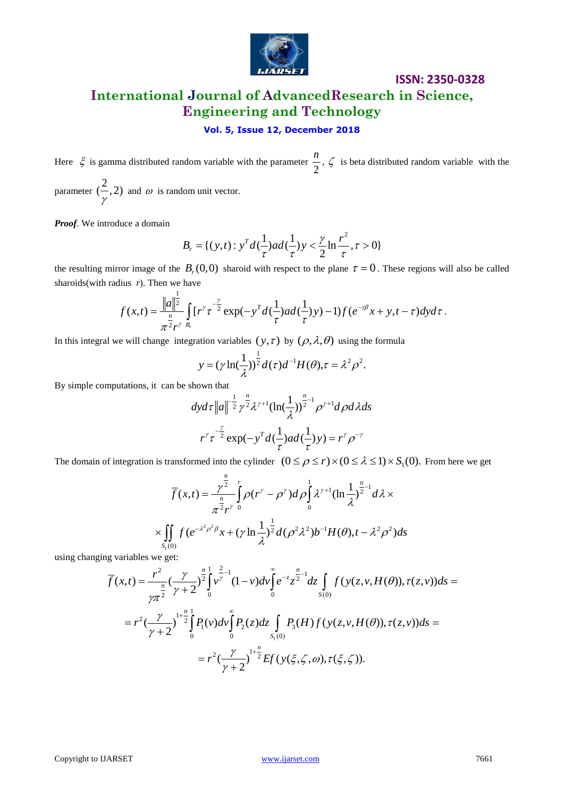

# **International Journal of AdvancedResearch in Science, Engineering and Technology**

#### **Vol. 5, Issue 12, December 2018**

Here  $\zeta$  is gamma distributed random variable with the parameter 2  $\frac{n}{6}$ ,  $\zeta$  is beta distributed random variable with the

parameter  $(\frac{2}{\cdot}, 2)$ γ and  $\omega$  is random unit vector.

1

*Proof*. We introduce a domain

$$
B_r = \{ (y,t) : y^T d(\frac{1}{\tau}) ad(\frac{1}{\tau}) y < \frac{\gamma}{2} \ln \frac{r^2}{\tau}, \tau > 0 \}
$$

the resulting mirror image of the  $B_r(0,0)$  sharoid with respect to the plane  $\tau = 0$ . These regions will also be called sharoids(with radius r). Then we have<br>  $f(x,t) = \frac{\|a\|^{\frac{1}{2}}}{\frac{n}{2}} \int_{R} [r^{\gamma} \tau^{-\frac{\gamma}{2}} \exp(-y^T d(\frac{1}{\$ sharoids(with radius *r*). Then we have

$$
f(x,t) = \frac{\|a\|^{\frac{1}{2}}}{\pi^{\frac{n}{2}}r^{\gamma}} \int_{B_r} [r^{\gamma} \tau^{-\frac{\gamma}{2}} \exp(-y^T d(\frac{1}{\tau})ad(\frac{1}{\tau})) - 1] f(e^{-\tau\beta}x + y, t - \tau) dy d\tau.
$$

In this integral we will change integration variables  $(y, \tau)$  by  $(\rho, \lambda, \theta)$  using the formula

$$
y = (\gamma \ln(\frac{1}{\lambda}))^{\frac{1}{2}} d(\tau) d^{-1} H(\theta), \tau = \lambda^2 \rho^2.
$$

By simple computations, it can be shown that

hown that

\n
$$
dyd\tau \|a\|^{-\frac{1}{2}} \gamma^{\frac{n}{2}} \lambda^{\gamma+1} (\ln(\frac{1}{\lambda}))^{\frac{n}{2}-1} \rho^{\gamma+1} d\rho d\lambda ds
$$
\n
$$
r^{\gamma} \tau^{-\frac{\gamma}{2}} \exp(-y^{T} d(\frac{1}{\tau}) ad(\frac{1}{\tau}) y) = r^{\gamma} \rho^{-\gamma}
$$

The domain of integration is transformed into the cylinder 
$$
(0 \le \rho \le r) \times (0 \le \lambda \le 1) \times S_1(0)
$$
. From here we get  
\n
$$
\overline{f}(x,t) = \frac{\gamma^{\frac{n}{2}}}{\pi^{\frac{n}{2}}r^{\gamma}} \int_{0}^{\pi} \rho(r^{\gamma} - \rho^{\gamma}) d\rho \int_{0}^{1} \lambda^{\gamma+1} (\ln \frac{1}{\lambda})^{\frac{n}{2}-1} d\lambda \times
$$
\n
$$
\times \int_{S_1(0)}^{\pi} f(e^{-\lambda^2 \rho^2 \beta} x + (\gamma \ln \frac{1}{\lambda})^{\frac{1}{2}} d(\rho^2 \lambda^2) b^{-1} H(\theta), t - \lambda^2 \rho^2) ds
$$

using changing variables we get:

$$
\times \iint_{S_1(0)} f(e^{-\lambda^2 \rho^2 \beta} x + (\gamma \ln \frac{1}{\lambda})^{\frac{1}{2}} d(\rho^2 \lambda^2) b^{-1} H(\theta), t - \lambda^2 \rho^2) ds
$$
  
ng variables we get:  

$$
\overline{f}(x,t) = \frac{r^2}{\gamma \pi^2} (\frac{\gamma}{\gamma+2})^{\frac{n}{2}} \int_0^1 v^{\frac{2}{\gamma-1}} (1-v) dv \int_0^{\infty} e^{-z} z^{\frac{n}{2}-1} dz \int_{S(0)} f(y(z,v,H(\theta)), \tau(z,v)) ds =
$$

$$
= r^2 (\frac{\gamma}{\gamma+2})^{1+\frac{n}{2}} \int_0^1 P_1(v) dv \int_0^{\infty} P_2(z) dz \int_{S_1(0)} P_3(H) f(y(z,v,H(\theta)), \tau(z,v)) ds =
$$

$$
= r^2 (\frac{\gamma}{\gamma+2})^{1+\frac{n}{2}} Ef(y(\xi, \zeta, \omega), \tau(\xi, \zeta)).
$$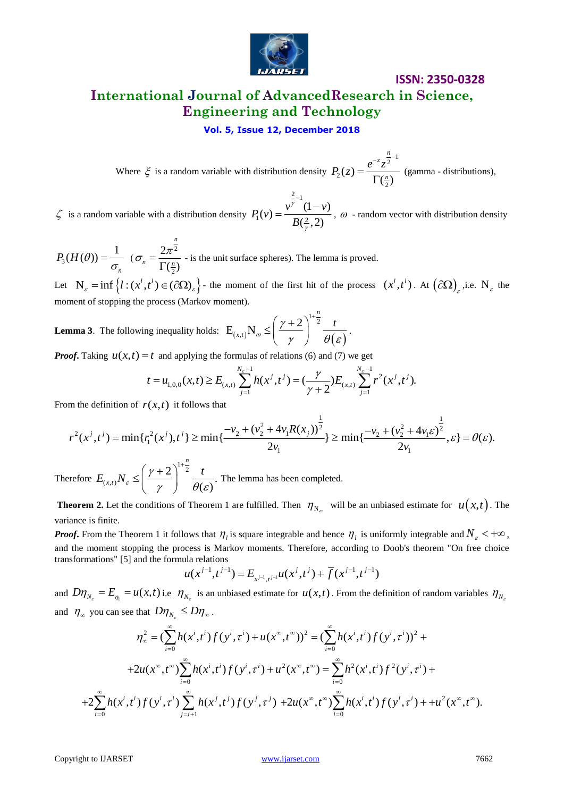

# **ISSN: 2350-0328 International Journal of AdvancedResearch in Science, Engineering and Technology**

**Vol. 5, Issue 12, December 2018**

Where  $\xi$  is a random variable with distribution density  $\frac{n}{2}$ -1 2 2  $(z)$  $\left(\frac{n}{2}\right)$ *n z*  $P_2(z) = \frac{e^{-z}z^{\frac{n}{2}}}{\Gamma(n)}$  $=$  $\frac{\infty}{\Gamma(\frac{n}{2})}$  (gamma - distributions),

 $\zeta$  is a random variable with a distribution density  $\frac{2}{2}$ -1  $P_1(v) = \frac{v^{\gamma^{-1}}(1-v)}{B(2-2)}$  $(\frac{2}{v}, 2)$  $P_1(v) = \frac{v^{\frac{v}{\gamma}}(1-v)}{P_2(v+2v)}$ *B* γ γ  $= \frac{v^{\frac{z}{\gamma}}(1-v)}{2(1-v)}$ ,  $\omega$  - random vector with distribution density

3  $(H(\theta)) = \frac{1}{\pi}$ *n*  $P_3(H(\theta)) = \frac{1}{\sigma}$   $(\sigma_n = \frac{2\pi^2}{\Gamma(\frac{n}{2})^2})$ 2 2  $\left(\frac{n}{2}\right)$ *n*  $n - \frac{n}{\Gamma(n)}$  $\sigma_n = \frac{2\pi}{\pi n}$  $\frac{2\pi}{\Gamma(\frac{n}{2})}$  - is the unit surface spheres). The lemma is proved.

Let  $N_{\varepsilon} = \inf \left\{ l : (x^l, t^l) \in (\partial \Omega)_{\varepsilon} \right\}$ - the moment of the first hit of the process  $(x^l, t^l)$ . At  $(\partial \Omega)_{\varepsilon}$ , i.e.  $N_{\varepsilon}$  the moment of stopping the process (Markov moment).

**Lemma 3**. The following inequality holds:  $E_{(x,t)}N_{\omega} \leq \left(\frac{\gamma}{\gamma}\right) - \frac{\gamma}{\theta(\varepsilon)}$  $1 + \frac{n}{2}$ ,  $E_{(x,t)}N_{\omega} \leq \left(\frac{\gamma+2}{\gamma}\right)^{1+\frac{n}{2}}$ *x t t*  $\omega$  $\left(\frac{\gamma+2}{\gamma}\right)^{-2}\frac{t}{\theta(\varepsilon)}$ .  $(\gamma + 2)^{1 + \frac{n}{2}}$ 

**Lemma 3.** The following inequality holds: 
$$
E_{(x,t)}N_{\omega} \le \left(\frac{\gamma+2}{\gamma}\right)^2 \frac{t}{\theta(\varepsilon)}
$$
.  
\n**Proof.** Taking  $u(x,t) = t$  and applying the formulas of relations (6) and (7) we get\n
$$
t = u_{1,0,0}(x,t) \ge E_{(x,t)} \sum_{j=1}^{N_{\varepsilon}-1} h(x^j, t^j) = \left(\frac{\gamma}{\gamma+2}\right) E_{(x,t)} \sum_{j=1}^{N_{\varepsilon}-1} r^2(x^j, t^j).
$$

From the definition of 
$$
r(x,t)
$$
 it follows that  
\n
$$
r^{2}(x^{j},t^{j}) = \min\{r_{1}^{2}(x^{j}),t^{j}\} \ge \min\{\frac{-v_{2} + (v_{2}^{2} + 4v_{1}R(x_{j}))^{\frac{1}{2}}}{2v_{1}}\} \ge \min\{\frac{-v_{2} + (v_{2}^{2} + 4v_{1}\varepsilon)^{\frac{1}{2}}}{2v_{1}}, \varepsilon\} = \theta(\varepsilon).
$$

Therefore  $1 + \frac{n}{2}$  $(x, t)$  $\left(\frac{2}{\theta(\varepsilon)}\right)^{1/2} \frac{t}{\theta(\varepsilon)}.$ *n x t*  $E_{(x,t)}N_{\varepsilon} \leq \left(\frac{\gamma+2}{\gamma}\right)^{1/2} \frac{t}{\theta(\varepsilon)}$ .  $(\gamma+2)^{1+\frac{n}{2}}$  $\leq \left(\frac{\gamma+2}{\gamma}\right)^{-2} \frac{t}{\theta(\varepsilon)}$ . The lemma has been completed.

**Theorem 2.** Let the conditions of Theorem 1 are fulfilled. Then  $\eta_{N_{\varnothing}}$  will be an unbiased estimate for  $u(x,t)$ . The variance is finite.

*Proof***.** From the Theorem 1 it follows that  $\eta_i$  is square integrable and hence  $\eta_i$  is uniformly integrable and  $N_\varepsilon$  < + $\infty$ , and the moment stopping the process is Markov moments. Therefore, according to Doob's theorem "On free choice transformations" [5] and the formula relations  $u(x^{j-1}, t^{j-1}) = E_{x^{j-1}, t^{j-1}} u(x^j, t^j) + \overline{f}(x^{j-1}, t^{j-1})$ transformations" [5] and the formula relations

\n
$$
u(x^{j-1}, t^{j-1}) = E_{x^{j-1}, t^{j-1}} u(x^j, t^j) + \overline{f}(x^{j-1}, t^{j-1})
$$
\n

and  $D\eta_{N_c} = E_{\eta_1} = u(x,t)$  i.e  $\eta_{N_c}$  is an unbiased estimate for  $u(x,t)$ . From the definition of random variables  $\eta_{N_c}$ and  $\eta_{\infty}$  you can see that  $D\eta_{N_{\varepsilon}} \leq D\eta_{\infty}$ .

$$
\eta_{N_{\varepsilon}} = E_{\eta_1} = u(x,t)
$$
 i.e  $\eta_{N_{\varepsilon}}$  is an unbiased estimate for  $u(x,t)$ . From the definition of random variables  
\n
$$
\int_{-\infty}^{\infty} \int_{-\infty}^{\infty} u(x,t) \, dx \, dV_{N_{\varepsilon}} \leq D\eta_{\infty}.
$$
\n
$$
\eta_{\infty}^2 = \left(\sum_{i=0}^{\infty} h(x^i,t^i) f(y^i,\tau^i) + u(x^{\infty},t^{\infty})\right)^2 = \left(\sum_{i=0}^{\infty} h(x^i,t^i) f(y^i,\tau^i)\right)^2 +
$$
\n
$$
+2u(x^{\infty},t^{\infty}) \sum_{i=0}^{\infty} h(x^i,t^i) f(y^i,\tau^i) + u^2(x^{\infty},t^{\infty}) = \sum_{i=0}^{\infty} h^2(x^i,t^i) f^2(y^i,\tau^i) +
$$
\n
$$
+2\sum_{i=0}^{\infty} h(x^i,t^i) f(y^i,\tau^i) \sum_{j=i+1}^{\infty} h(x^j,t^j) f(y^j,\tau^j) + 2u(x^{\infty},t^{\infty}) \sum_{i=0}^{\infty} h(x^i,t^i) f(y^i,\tau^i) + u^2(x^{\infty},t^{\infty}).
$$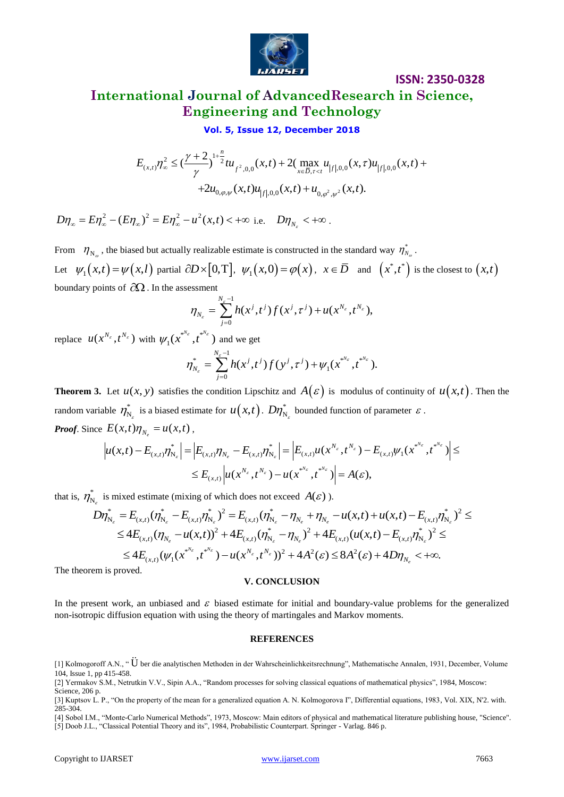

# **International Journal of AdvancedResearch in Science, Engineering and Technology**

#### **Vol. 5, Issue 12, December 2018**

$$
\text{Vol. 5, Issue 12, December 2018}
$$
\n
$$
E_{(x,t)} \eta_{\infty}^{2} \leq \left(\frac{\gamma + 2}{\gamma}\right)^{1 + \frac{n}{2}} t u_{f^{2},0,0}(x,t) + 2 \left(\max_{x \in \overline{D}, \tau < t} u_{|f|,0,0}(x,\tau) u_{|f|,0,0}(x,t) + 2 u_{0,\varphi,\psi}(x,t) u_{|f|,0,0}(x,t) + u_{0,\varphi^{2},\psi^{2}}(x,t) \right).
$$

 $D\eta_{\infty} = E\eta_{\infty}^{2} - (E\eta_{\infty})^{2} = E\eta_{\infty}^{2} - u^{2}(x, t) < +\infty$  i.e.  $D\eta_{N_{\varepsilon}} < +\infty$ .

From  $\eta_{N_{\varrho}}$ , the biased but actually realizable estimate is constructed in the standard way  $\eta_{N_{\varrho}}^{*}$ . Let  $\psi_1(x,t) = \psi(x,t)$  partial  $\partial D \times [0,T]$ ,  $\psi_1(x,0) = \phi(x)$ ,  $x \in \overline{D}$  and  $(x^*,t^*)$  is the closest to  $(x,t)$ boundary points of  $\partial\Omega$ . In the assessment

$$
\eta_{N_{\varepsilon}} = \sum_{j=0}^{N_{\varepsilon}-1} h(x^j,t^j) f(x^j,\tau^j) + u(x^{N_{\varepsilon}},t^{N_{\varepsilon}}),
$$

replace  $u(x^{N_{\varepsilon}}, t^{N_{\varepsilon}})$  with  $\psi_1(x^{*,N_{\varepsilon}}, t^*)$  $\psi_1(x^{*,N_{\varepsilon}},t^{*,N_{\varepsilon}})$  and we get

$$
\eta_{N_{\varepsilon}}^* = \sum_{j=0}^{N_{\varepsilon}-1} h(x^j,t^j) f(y^j,\tau^j) + \psi_1(x^{*N_{\varepsilon}},t^{*N_{\varepsilon}}).
$$

**Theorem 3.** Let  $u(x, y)$  satisfies the condition Lipschitz and  $A(\varepsilon)$  is modulus of continuity of  $u(x,t)$ . Then the random variable  $\eta_{N}^{*}$  $\eta_{N_\varepsilon}^*$  is a biased estimate for  $u(x,t)$ .  $D\eta_{N_\varepsilon}^*$  bounded function of parameter  $\varepsilon$ .

Proof. Since 
$$
E(x,t)\eta_{N_e} = u(x,t)
$$
,  
\n
$$
\left| u(x,t) - E_{(x,t)}\eta_{N_e}^* \right| = \left| E_{(x,t)}\eta_{N_e} - E_{(x,t)}\eta_{N_e}^* \right| = \left| E_{(x,t)}u(x^{N_e},t^{N_e}) - E_{(x,t)}\psi_1(x^{N_e},t^{N_e}) \right| \leq
$$
\n
$$
\leq E_{(x,t)} \left| u(x^{N_e},t^{N_e}) - u(x^{N_e},t^{N_e}) \right| = A(\varepsilon),
$$

that is,  $\eta_{N}^{*}$  $\eta_{N_{\varepsilon}}^*$  is mixed estimate (mixing of which does not exceed  $A(\varepsilon)$ ).

$$
\leq E_{(x,t)}\left|u(x^{N_{\varepsilon}},t^{N_{\varepsilon}})-u(x^{*N_{\varepsilon}},t^{*N_{\varepsilon}})\right|=A(\varepsilon),
$$
  
\n
$$
D\eta_{N_{\varepsilon}}^{*}=E_{(x,t)}(\eta_{N_{\varepsilon}}^{*}-E_{(x,t)}\eta_{N_{\varepsilon}}^{*})^{2}=E_{(x,t)}(\eta_{N_{\varepsilon}}^{*}-\eta_{N_{\varepsilon}}+\eta_{N_{\varepsilon}}-u(x,t)+u(x,t)-E_{(x,t)}\eta_{N_{\varepsilon}}^{*})^{2}\leq
$$
  
\n
$$
\leq 4E_{(x,t)}(\eta_{N_{\varepsilon}}-u(x,t))^{2}+4E_{(x,t)}(\eta_{N_{\varepsilon}}^{*}-\eta_{N_{\varepsilon}})^{2}+4E_{(x,t)}(u(x,t)-E_{(x,t)}\eta_{N_{\varepsilon}}^{*})^{2}\leq
$$
  
\n
$$
\leq 4E_{(x,t)}(\psi_{1}(x^{*N_{\varepsilon}},t^{*N_{\varepsilon}})-u(x^{N_{\varepsilon}},t^{N_{\varepsilon}}))^{2}+4A^{2}(\varepsilon)\leq 8A^{2}(\varepsilon)+4D\eta_{N_{\varepsilon}}<+\infty.
$$

The theorem is proved.

#### **V. CONCLUSION**

In the present work, an unbiased and  $\varepsilon$  biased estimate for initial and boundary-value problems for the generalized non-isotropic diffusion equation with using the theory of martingales and Markov moments.

#### **REFERENCES**

[4] Sobol I.M., "Monte-Carlo Numerical Methods", 1973, Moscow: Main editors of physical and mathematical literature publishing house, "Science". [5] Doob J.L., "Classical Potential Theory and its", 1984, Probabilistic Counterpart. Springer - Varlag. 846 p.

<sup>[1]</sup> Kolmogoroff A.N., " U ber die analytischen Methoden in der Wahrscheinlichkeitsrechnung", Mathematische Annalen, 1931, December, Volume 104, Issue 1, pp 415-458.

<sup>[2]</sup> Yermakov S.M., Netrutkin V.V., Sipin A.A., "Random processes for solving classical equations of mathematical physics", 1984, Moscow: Science, 206 p.

<sup>[3]</sup> Kuptsov L. P., "On the property of the mean for a generalized equation A. N. Kolmogorova I", Differential equations, 1983, Vol. XIX, N'2. with. 285-304.